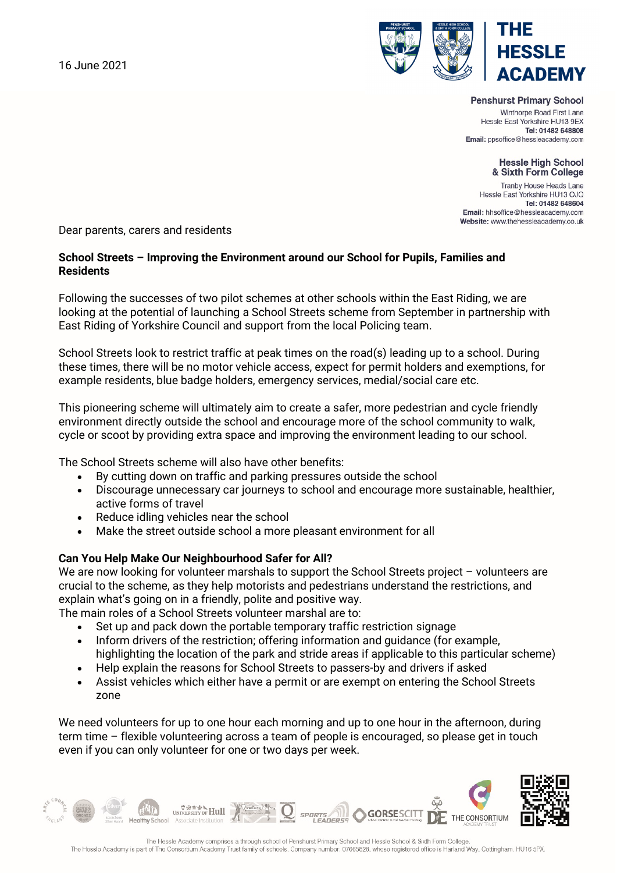16 June 2021



## **Penshurst Primary School**

Winthorpe Road First Lane Hessle East Yorkshire HU13 9EX Tel: 01482 648808 Email: ppsoffice@hessleacademy.com

## **Hessle High School** & Sixth Form College

Tranby House Heads Lane Hessle East Yorkshire HU13 OJQ Tel: 01482 648604 Email: hhsoffice@hessleacademy.com Website: www.thehessleacademy.co.uk

Dear parents, carers and residents

## **School Streets – Improving the Environment around our School for Pupils, Families and Residents**

Following the successes of two pilot schemes at other schools within the East Riding, we are looking at the potential of launching a School Streets scheme from September in partnership with East Riding of Yorkshire Council and support from the local Policing team.

School Streets look to restrict traffic at peak times on the road(s) leading up to a school. During these times, there will be no motor vehicle access, expect for permit holders and exemptions, for example residents, blue badge holders, emergency services, medial/social care etc.

This pioneering scheme will ultimately aim to create a safer, more pedestrian and cycle friendly environment directly outside the school and encourage more of the school community to walk, cycle or scoot by providing extra space and improving the environment leading to our school.

The School Streets scheme will also have other benefits:

- By cutting down on traffic and parking pressures outside the school
- Discourage unnecessary car journeys to school and encourage more sustainable, healthier, active forms of travel
- Reduce idling vehicles near the school
- Make the street outside school a more pleasant environment for all

## **Can You Help Make Our Neighbourhood Safer for All?**

We are now looking for volunteer marshals to support the School Streets project - volunteers are crucial to the scheme, as they help motorists and pedestrians understand the restrictions, and explain what's going on in a friendly, polite and positive way.

The main roles of a School Streets volunteer marshal are to:

- Set up and pack down the portable temporary traffic restriction signage
- Inform drivers of the restriction; offering information and guidance (for example, highlighting the location of the park and stride areas if applicable to this particular scheme)
- Help explain the reasons for School Streets to passers-by and drivers if asked
- Assist vehicles which either have a permit or are exempt on entering the School Streets zone

We need volunteers for up to one hour each morning and up to one hour in the afternoon, during term time – flexible volunteering across a team of people is encouraged, so please get in touch even if you can only volunteer for one or two days per week.